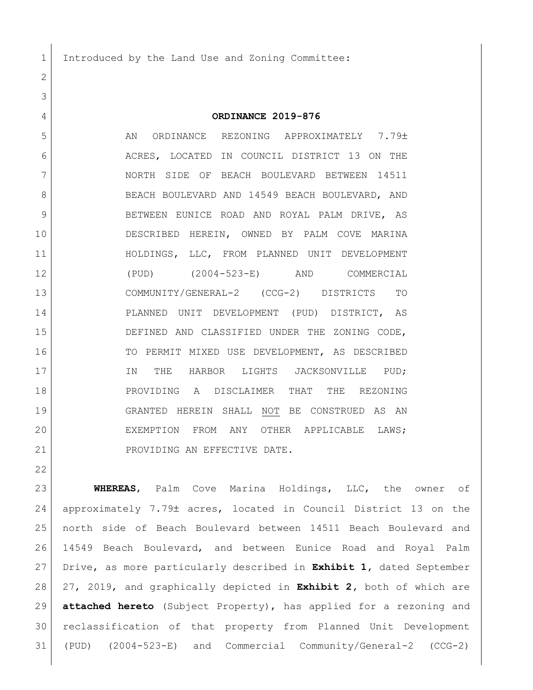Introduced by the Land Use and Zoning Committee:

## **ORDINANCE 2019-876**

5 AN ORDINANCE REZONING APPROXIMATELY 7.79± 6 ACRES, LOCATED IN COUNCIL DISTRICT 13 ON THE NORTH SIDE OF BEACH BOULEVARD BETWEEN 14511 8 BEACH BOULEVARD AND 14549 BEACH BOULEVARD, AND 9 BETWEEN EUNICE ROAD AND ROYAL PALM DRIVE, AS DESCRIBED HEREIN, OWNED BY PALM COVE MARINA HOLDINGS, LLC, FROM PLANNED UNIT DEVELOPMENT (PUD) (2004-523-E) AND COMMERCIAL COMMUNITY/GENERAL-2 (CCG-2) DISTRICTS TO PLANNED UNIT DEVELOPMENT (PUD) DISTRICT, AS DEFINED AND CLASSIFIED UNDER THE ZONING CODE, 16 TO PERMIT MIXED USE DEVELOPMENT, AS DESCRIBED 17 IN THE HARBOR LIGHTS JACKSONVILLE PUD: PROVIDING A DISCLAIMER THAT THE REZONING GRANTED HEREIN SHALL NOT BE CONSTRUED AS AN EXEMPTION FROM ANY OTHER APPLICABLE LAWS; 21 PROVIDING AN EFFECTIVE DATE.

 **WHEREAS**, Palm Cove Marina Holdings, LLC, the owner of 24 approximately 7.79± acres, located in Council District 13 on the north side of Beach Boulevard between 14511 Beach Boulevard and 14549 Beach Boulevard, and between Eunice Road and Royal Palm Drive, as more particularly described in **Exhibit 1,** dated September 27, 2019, and graphically depicted in **Exhibit 2,** both of which are **attached hereto** (Subject Property), has applied for a rezoning and reclassification of that property from Planned Unit Development (PUD) (2004-523-E) and Commercial Community/General-2 (CCG-2)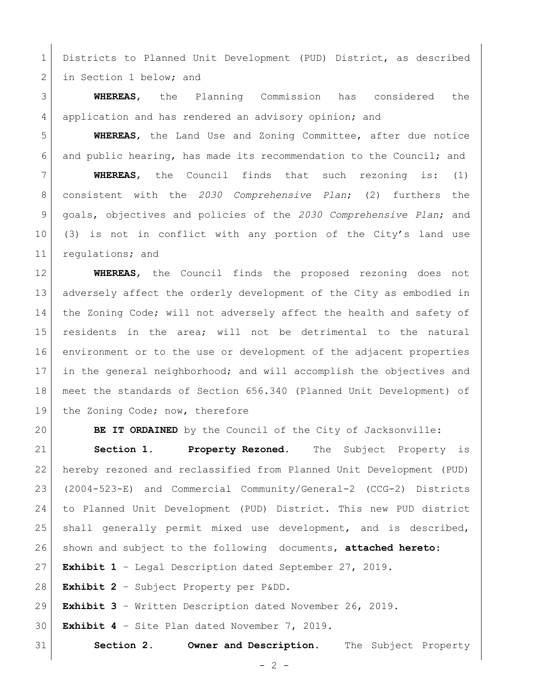Districts to Planned Unit Development (PUD) District, as described 2 in Section 1 below; and

 **WHEREAS**, the Planning Commission has considered the 4 | application and has rendered an advisory opinion; and

 **WHEREAS**, the Land Use and Zoning Committee, after due notice and public hearing, has made its recommendation to the Council; and

 **WHEREAS**, the Council finds that such rezoning is: (1) consistent with the *2030 Comprehensive Plan*; (2) furthers the goals, objectives and policies of the *2030 Comprehensive Plan*; and (3) is not in conflict with any portion of the City's land use 11 regulations; and

 **WHEREAS**, the Council finds the proposed rezoning does not adversely affect the orderly development of the City as embodied in 14 the Zoning Code; will not adversely affect the health and safety of residents in the area; will not be detrimental to the natural environment or to the use or development of the adjacent properties in the general neighborhood; and will accomplish the objectives and meet the standards of Section 656.340 (Planned Unit Development) of 19 the Zoning Code; now, therefore

**BE IT ORDAINED** by the Council of the City of Jacksonville:

 **Section 1. Property Rezoned.** The Subject Property is hereby rezoned and reclassified from Planned Unit Development (PUD) (2004-523-E) and Commercial Community/General-2 (CCG-2) Districts to Planned Unit Development (PUD) District. This new PUD district shall generally permit mixed use development, and is described, shown and subject to the following documents, **attached hereto**: **Exhibit 1** – Legal Description dated September 27, 2019.

**Exhibit 2** – Subject Property per P&DD.

**Exhibit 3** – Written Description dated November 26, 2019.

**Exhibit 4** – Site Plan dated November 7, 2019.

**Section 2. Owner and Description.** The Subject Property